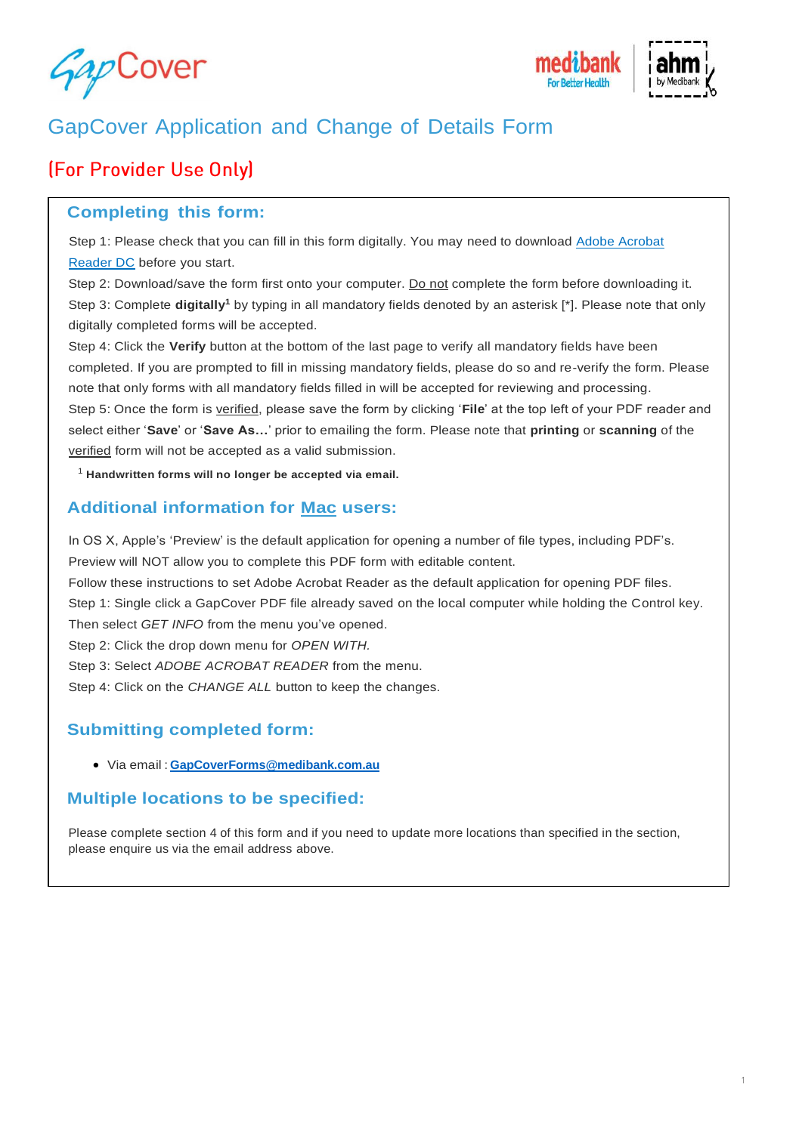



# GapCover Application and Change of Details Form

# (For Provider Use Only)

### **Completing this form:**

Step 1: Please check that you can fill in this form digitally. You may need to download [Adobe Acrobat](https://get.adobe.com/reader/?promoid=KSWLH)  [Reader DC](https://get.adobe.com/reader/?promoid=KSWLH) before you start.

Step 2: Download/save the form first onto your computer. Do not complete the form before downloading it. Step 3: Complete **digitally<sup>1</sup>** by typing in all mandatory fields denoted by an asterisk [\*]. Please note that only digitally completed forms will be accepted.

Step 4: Click the **Verify** button at the bottom of the last page to verify all mandatory fields have been completed. If you are prompted to fill in missing mandatory fields, please do so and re-verify the form. Please note that only forms with all mandatory fields filled in will be accepted for reviewing and processing.

Step 5: Once the form is verified, please save the form by clicking '**File**' at the top left of your PDF reader and select either '**Save**' or '**Save As…**' prior to emailing the form. Please note that **printing** or **scanning** of the verified form will not be accepted as a valid submission.

<sup>1</sup> **Handwritten forms will no longer be accepted via email.**

### **Additional information for Mac users:**

In OS X, Apple's 'Preview' [is the default application fo](mailto:GapCoverForms@medibank.com.au)r opening a number of file types, including PDF's. Preview will NOT allow you to complete this PDF form with editable content.

Follow these instructions to set Adobe Acrobat Reader as the default application for opening PDF files.

Step 1: Single click a GapCover PDF file already saved on the local computer while holding the Control key. Then select *GET INFO* from the menu you've opened.

Step 2: Click the drop down menu for *OPEN WITH.*

Step 3: Select *ADOBE ACROBAT READER* from the menu.

Step 4: Click on the *CHANGE ALL* button to keep the changes.

# **Submitting completed form:**

• Via email : **GapCoverForms@medibank.com.au**

#### **Multiple locations to be specified:**

Please complete section 4 of this form and if you need to update more locations than specified in the section, please enquire us via the email address above.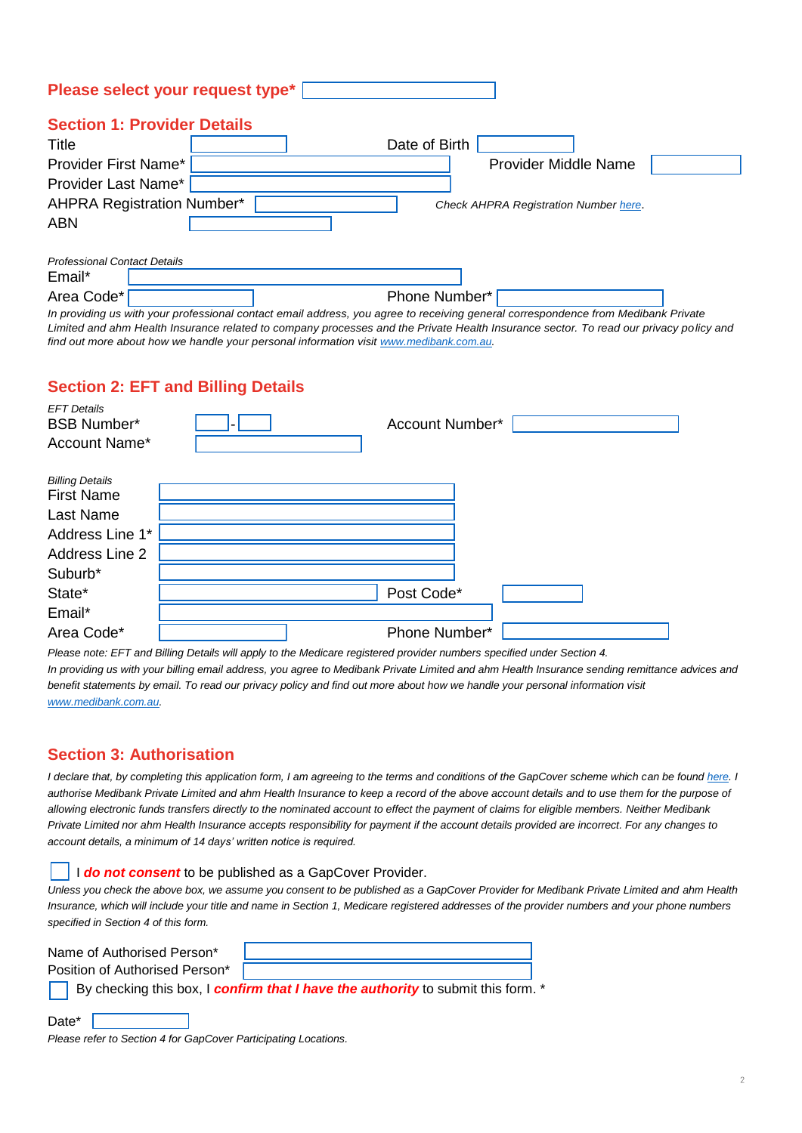| Please select your request type*   |  |                                              |  |  |  |  |  |  |
|------------------------------------|--|----------------------------------------------|--|--|--|--|--|--|
| <b>Section 1: Provider Details</b> |  |                                              |  |  |  |  |  |  |
| Title                              |  | Date of Birth                                |  |  |  |  |  |  |
| Provider First Name*               |  | <b>Provider Middle Name</b>                  |  |  |  |  |  |  |
| Provider Last Name*                |  |                                              |  |  |  |  |  |  |
| <b>AHPRA Registration Number*</b>  |  | <b>Check AHPRA Registration Number here.</b> |  |  |  |  |  |  |
| <b>ABN</b>                         |  |                                              |  |  |  |  |  |  |
|                                    |  |                                              |  |  |  |  |  |  |
|                                    |  |                                              |  |  |  |  |  |  |

| <b>Professional Contact Details</b> |   |  |   |               |  |  |   |  |
|-------------------------------------|---|--|---|---------------|--|--|---|--|
| Email*                              |   |  |   |               |  |  |   |  |
| Area Code*                          |   |  |   | Phone Number* |  |  |   |  |
| $\cdot$ $\cdot$                     | . |  | . |               |  |  | . |  |

*In providing us with your professional contact email address, you agree to receiving general correspondence from Medibank Private*  Limited and ahm Health Insurance related to company processes and the Private Health Insurance sector. To read our privacy policy and *find out more about how we handle your personal information visit [www.medibank.com.au.](http://www.medibank.com.au/)* 

# **Section 2: EFT and Billing Details**

| <b>EFT Details</b><br><b>BSB Number*</b><br>Account Name* | Account Number* |
|-----------------------------------------------------------|-----------------|
| <b>Billing Details</b>                                    |                 |
| <b>First Name</b>                                         |                 |
| Last Name                                                 |                 |
| Address Line 1*                                           |                 |
| Address Line 2                                            |                 |
| Suburb*                                                   |                 |
| State*                                                    | Post Code*      |
| Email*                                                    |                 |
| Area Code*                                                | Phone Number*   |

*Please note: EFT and Billing Details will apply to the Medicare registered provider numbers specified under Section 4.* 

*In providing us with your billing email address, you agree to Medibank Private Limited and ahm Health Insurance sending remittance advices and*  benefit statements by email. To read our privacy policy and find out more about how we handle your personal information visit *[www.medibank.com.au.](http://www.medibank.com.au/)* 

## **Section 3: Authorisation**

Date\* |

*I declare that, by completing this application form, I am agreeing to the terms and conditions of the GapCover scheme which can be found here. <i>I* authorise Medibank Private Limited and ahm Health Insurance to keep a record of the above account details and to use them for the purpose of *allowing electronic funds transfers directly to the nominated account to effect the payment of claims for eligible members. Neither Medibank Private Limited nor ahm Health Insurance accepts responsibility for payment if the account details provided are incorrect. For any changes to account details, a minimum of 14 days' written notice is required.*

#### I *do not consent* to be published as a GapCover Provider.

*Unless you check the above box, we assume you consent to be published as a GapCover Provider for Medibank Private Limited and ahm Health*  Insurance, which will include your title and name in Section 1, Medicare registered addresses of the provider numbers and your phone numbers *specified in Section 4 of this form.* 

| Name of Authorised Person*     |                                                                                         |  |
|--------------------------------|-----------------------------------------------------------------------------------------|--|
| Position of Authorised Person* |                                                                                         |  |
|                                | By checking this box, I <b>confirm that I have the authority</b> to submit this form. * |  |

| Please refer to Section 4 for GapCover Participating Locations. |  |  |
|-----------------------------------------------------------------|--|--|
|                                                                 |  |  |